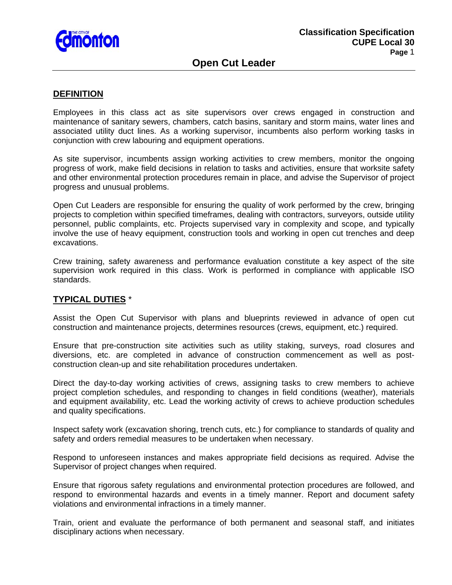

## **Open Cut Leader**

#### **DEFINITION**

Employees in this class act as site supervisors over crews engaged in construction and maintenance of sanitary sewers, chambers, catch basins, sanitary and storm mains, water lines and associated utility duct lines. As a working supervisor, incumbents also perform working tasks in conjunction with crew labouring and equipment operations.

As site supervisor, incumbents assign working activities to crew members, monitor the ongoing progress of work, make field decisions in relation to tasks and activities, ensure that worksite safety and other environmental protection procedures remain in place, and advise the Supervisor of project progress and unusual problems.

Open Cut Leaders are responsible for ensuring the quality of work performed by the crew, bringing projects to completion within specified timeframes, dealing with contractors, surveyors, outside utility personnel, public complaints, etc. Projects supervised vary in complexity and scope, and typically involve the use of heavy equipment, construction tools and working in open cut trenches and deep excavations.

Crew training, safety awareness and performance evaluation constitute a key aspect of the site supervision work required in this class. Work is performed in compliance with applicable ISO standards.

## **TYPICAL DUTIES** \*

Assist the Open Cut Supervisor with plans and blueprints reviewed in advance of open cut construction and maintenance projects, determines resources (crews, equipment, etc.) required.

Ensure that pre-construction site activities such as utility staking, surveys, road closures and diversions, etc. are completed in advance of construction commencement as well as postconstruction clean-up and site rehabilitation procedures undertaken.

Direct the day-to-day working activities of crews, assigning tasks to crew members to achieve project completion schedules, and responding to changes in field conditions (weather), materials and equipment availability, etc. Lead the working activity of crews to achieve production schedules and quality specifications.

Inspect safety work (excavation shoring, trench cuts, etc.) for compliance to standards of quality and safety and orders remedial measures to be undertaken when necessary.

Respond to unforeseen instances and makes appropriate field decisions as required. Advise the Supervisor of project changes when required.

Ensure that rigorous safety regulations and environmental protection procedures are followed, and respond to environmental hazards and events in a timely manner. Report and document safety violations and environmental infractions in a timely manner.

Train, orient and evaluate the performance of both permanent and seasonal staff, and initiates disciplinary actions when necessary.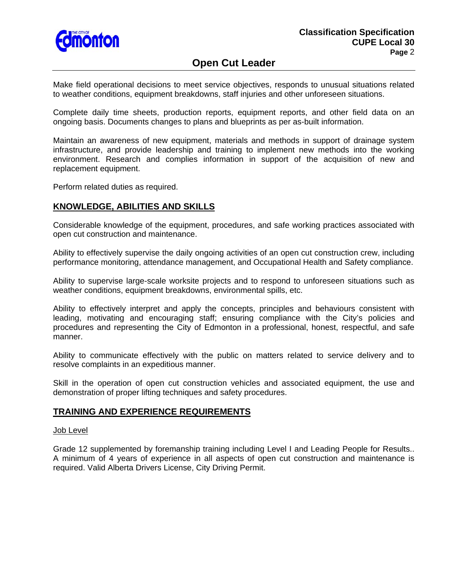

# **Open Cut Leader**

Make field operational decisions to meet service objectives, responds to unusual situations related to weather conditions, equipment breakdowns, staff injuries and other unforeseen situations.

Complete daily time sheets, production reports, equipment reports, and other field data on an ongoing basis. Documents changes to plans and blueprints as per as-built information.

Maintain an awareness of new equipment, materials and methods in support of drainage system infrastructure, and provide leadership and training to implement new methods into the working environment. Research and complies information in support of the acquisition of new and replacement equipment.

Perform related duties as required.

## **KNOWLEDGE, ABILITIES AND SKILLS**

Considerable knowledge of the equipment, procedures, and safe working practices associated with open cut construction and maintenance.

Ability to effectively supervise the daily ongoing activities of an open cut construction crew, including performance monitoring, attendance management, and Occupational Health and Safety compliance.

Ability to supervise large-scale worksite projects and to respond to unforeseen situations such as weather conditions, equipment breakdowns, environmental spills, etc.

Ability to effectively interpret and apply the concepts, principles and behaviours consistent with leading, motivating and encouraging staff; ensuring compliance with the City's policies and procedures and representing the City of Edmonton in a professional, honest, respectful, and safe manner.

Ability to communicate effectively with the public on matters related to service delivery and to resolve complaints in an expeditious manner.

Skill in the operation of open cut construction vehicles and associated equipment, the use and demonstration of proper lifting techniques and safety procedures.

## **TRAINING AND EXPERIENCE REQUIREMENTS**

#### Job Level

Grade 12 supplemented by foremanship training including Level I and Leading People for Results.. A minimum of 4 years of experience in all aspects of open cut construction and maintenance is required. Valid Alberta Drivers License, City Driving Permit.